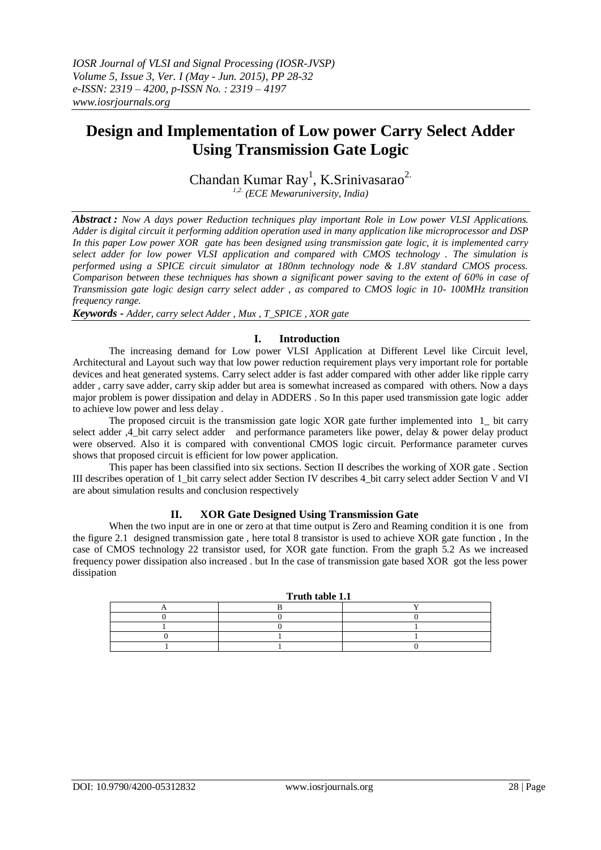# **Design and Implementation of Low power Carry Select Adder Using Transmission Gate Logic**

Chandan Kumar Ray<sup>1</sup>, K.Srinivasarao<sup>2.</sup>

*1,2. (ECE Mewaruniversity, India)* 

*Abstract : Now A days power Reduction techniques play important Role in Low power VLSI Applications. Adder is digital circuit it performing addition operation used in many application like microprocessor and DSP In this paper Low power XOR gate has been designed using transmission gate logic, it is implemented carry select adder for low power VLSI application and compared with CMOS technology . The simulation is performed using a SPICE circuit simulator at 180nm technology node & 1.8V standard CMOS process. Comparison between these techniques has shown a significant power saving to the extent of 60% in case of Transmission gate logic design carry select adder , as compared to CMOS logic in 10- 100MHz transition frequency range.*

*Keywords - Adder, carry select Adder , Mux , T\_SPICE , XOR gate*

## **I. Introduction**

The increasing demand for Low power VLSI Application at Different Level like Circuit level, Architectural and Layout such way that low power reduction requirement plays very important role for portable devices and heat generated systems. Carry select adder is fast adder compared with other adder like ripple carry adder , carry save adder, carry skip adder but area is somewhat increased as compared with others. Now a days major problem is power dissipation and delay in ADDERS . So In this paper used transmission gate logic adder to achieve low power and less delay .

The proposed circuit is the transmission gate logic XOR gate further implemented into 1\_ bit carry select adder ,4 bit carry select adder and performance parameters like power, delay & power delay product were observed. Also it is compared with conventional CMOS logic circuit. Performance parameter curves shows that proposed circuit is efficient for low power application.

This paper has been classified into six sections. Section II describes the working of XOR gate . Section III describes operation of 1\_bit carry select adder Section IV describes 4\_bit carry select adder Section V and VI are about simulation results and conclusion respectively

### **II. XOR Gate Designed Using Transmission Gate**

When the two input are in one or zero at that time output is Zero and Reaming condition it is one from the figure 2.1 designed transmission gate , here total 8 transistor is used to achieve XOR gate function , In the case of CMOS technology 22 transistor used, for XOR gate function. From the graph 5.2 As we increased frequency power dissipation also increased . but In the case of transmission gate based XOR got the less power dissipation

| Truth table 1.1 |  |  |
|-----------------|--|--|
|                 |  |  |
|                 |  |  |
|                 |  |  |
|                 |  |  |
|                 |  |  |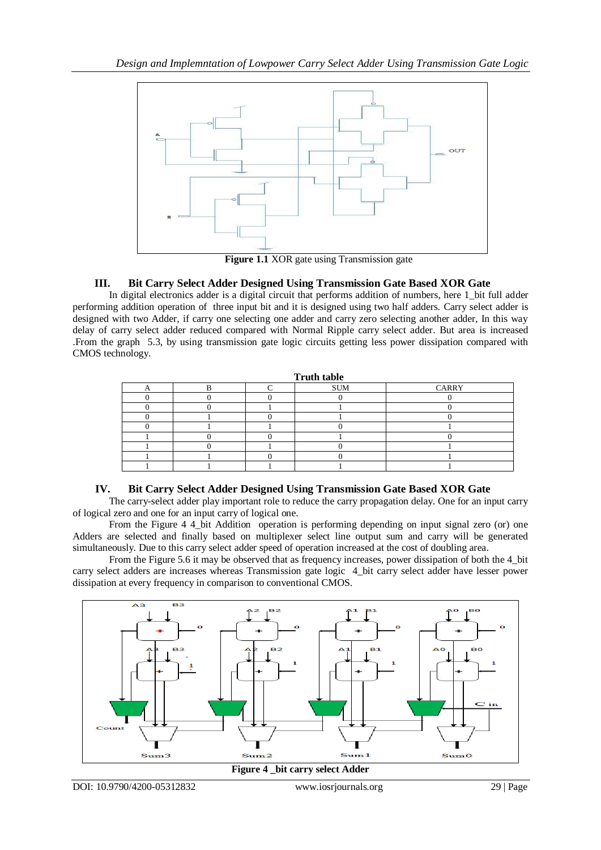

**Figure 1.1** XOR gate using Transmission gate

# **III. Bit Carry Select Adder Designed Using Transmission Gate Based XOR Gate**

In digital electronics adder is a digital circuit that performs addition of numbers, here 1\_bit full adder performing addition operation of three input bit and it is designed using two half adders. Carry select adder is designed with two Adder, if carry one selecting one adder and carry zero selecting another adder, In this way delay of carry select adder reduced compared with Normal Ripple carry select adder. But area is increased .From the graph 5.3, by using transmission gate logic circuits getting less power dissipation compared with CMOS technology.

| <b>Truth table</b> |  |  |            |       |
|--------------------|--|--|------------|-------|
|                    |  |  | <b>SUM</b> | CARRY |
|                    |  |  |            |       |
|                    |  |  |            |       |
|                    |  |  |            |       |
|                    |  |  |            |       |
|                    |  |  |            |       |
|                    |  |  |            |       |
|                    |  |  |            |       |
|                    |  |  |            |       |

# **IV. Bit Carry Select Adder Designed Using Transmission Gate Based XOR Gate**

The carry-select adder play important role to reduce the carry propagation delay. One for an input carry of logical zero and one for an input carry of logical one.

From the Figure 4 4 bit Addition operation is performing depending on input signal zero (or) one Adders are selected and finally based on multiplexer select line output sum and carry will be generated simultaneously. Due to this carry select adder speed of operation increased at the cost of doubling area.

From the Figure 5.6 it may be observed that as frequency increases, power dissipation of both the 4 bit carry select adders are increases whereas Transmission gate logic 4\_bit carry select adder have lesser power dissipation at every frequency in comparison to conventional CMOS.



**Figure 4 \_bit carry select Adder**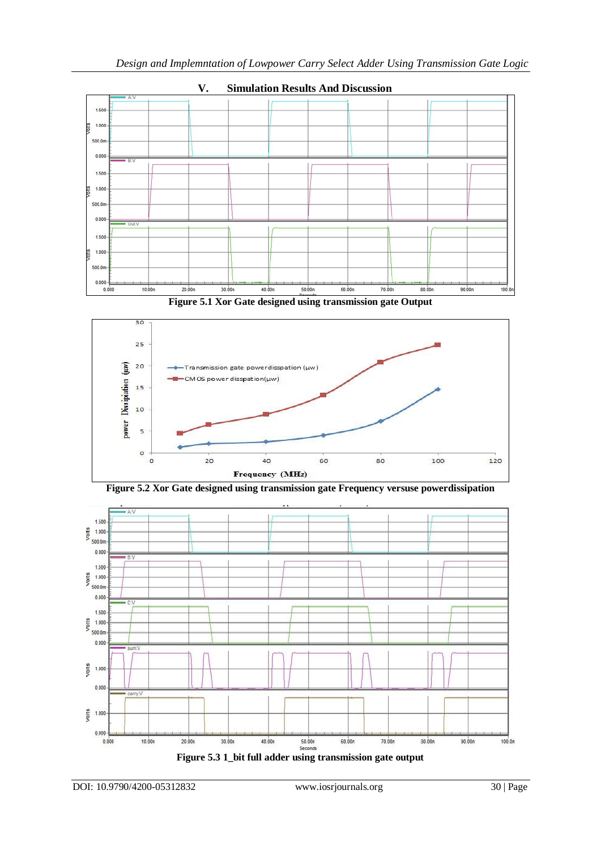

**V. Simulation Results And Discussion**

**Figure 5.1 Xor Gate designed using transmission gate Output**





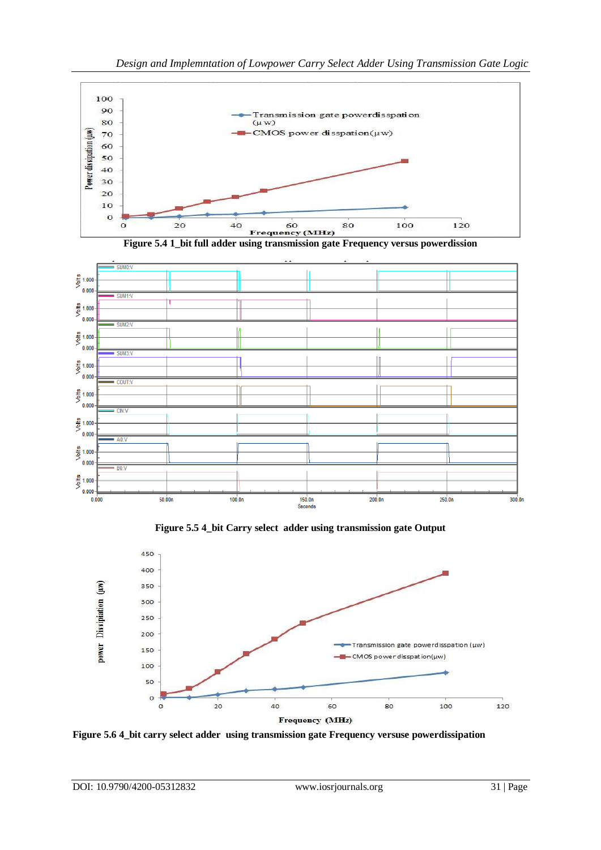





**Figure 5.5 4\_bit Carry select adder using transmission gate Output**



**Figure 5.6 4\_bit carry select adder using transmission gate Frequency versuse powerdissipation**